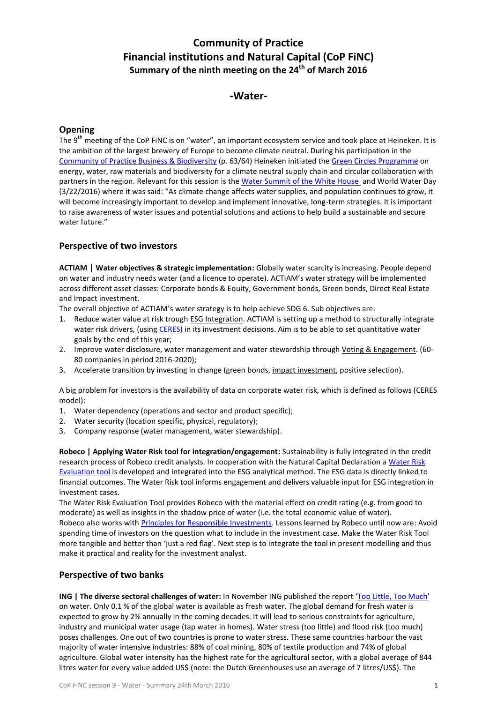# **Community of Practice Financial institutions and Natural Capital (CoP FiNC) Summary of the ninth meeting on the 24th of March 2016**

# **-Water-**

#### **Opening**

The 9<sup>th</sup> meeting of the CoP FiNC is on "water", an important ecosystem service and took place at Heineken. It is the ambition of the largest brewery of Europe to become climate neutral. During his participation in the [Community of Practice Business & Biodiversity](https://www.duurzaamdoor.nl/bedrijven-en-biodiversiteit) (p. 63/64) Heineken initiated the [Green Circles Programme](http://www.groenecirkels.nl/en/Green-Circles.htm) on energy, water, raw materials and biodiversity for a climate neutral supply chain and circular collaboration with partners in the region. Relevant for this session is the [Water Summit of the White House](https://www.whitehouse.gov/webform/share-your-input-activities-and-actions-build-sustainable-water-future) and World Water Day (3/22/2016) where it was said: "As climate change affects water supplies, and population continues to grow, it will become increasingly important to develop and implement innovative, long-term strategies. It is important to raise awareness of water issues and potential solutions and actions to help build a sustainable and secure water future."

### **Perspective of two investors**

**ACTIAM** | **Water objectives & strategic implementation:** Globally water scarcity is increasing. People depend on water and industry needs water (and a licence to operate). ACTIAM's water strategy will be implemented across different asset classes: Corporate bonds & Equity, Government bonds, Green bonds, Direct Real Estate and Impact investment.

The overall objective of ACTIAM's water strategy is to help achieve SDG 6. Sub objectives are:

- 1. Reduce water value at risk trough ESG Integration. ACTIAM is setting up a method to structurally integrate water risk drivers, (using [CERES\)](http://www.ceres.org/) in its investment decisions. Aim is to be able to set quantitative water goals by the end of this year;
- 2. Improve water disclosure, water management and water stewardship through Voting & Engagement. (60-80 companies in period 2016-2020);
- 3. Accelerate transition by investing in change (green bonds, *impact investment*, positive selection).

A big problem for investors is the availability of data on corporate water risk, which is defined as follows (CERES model):

- 1. Water dependency (operations and sector and product specific);
- 2. Water security (location specific, physical, regulatory);
- 3. Company response (water management, water stewardship).

**Robeco | Applying Water Risk tool for integration/engagement:** Sustainability is fully integrated in the credit research process of Robeco credit analysts. In cooperation with the Natural Capital Declaration [a Water Risk](http://naturalcapitaldeclaration.org/documents/wgi/INTEGRATING%20WATER%20STRESS%20REPORT_FINAL.pdf)  [Evaluation tool](http://naturalcapitaldeclaration.org/documents/wgi/INTEGRATING%20WATER%20STRESS%20REPORT_FINAL.pdf) is developed and integrated into the ESG analytical method. The ESG data is directly linked to financial outcomes. The Water Risk tool informs engagement and delivers valuable input for ESG integration in investment cases.

The Water Risk Evaluation Tool provides Robeco with the material effect on credit rating (e.g. from good to moderate) as well as insights in the shadow price of water (i.e. the total economic value of water). Robeco also works with [Principles for Responsible Investments.](http://www.unpri.org/) Lessons learned by Robeco until now are: Avoid spending time of investors on the question what to include in the investment case. Make the Water Risk Tool more tangible and better than 'just a red flag'. Next step is to integrate the tool in present modelling and thus make it practical and reality for the investment analyst.

## **Perspective of two banks**

**ING | The diverse sectoral challenges of water:** In November ING published the report '[Too Little, Too](http://www.slideshare.net/ING/water-report-2015) Much' on water. Only 0,1 % of the global water is available as fresh water. The global demand for fresh water is expected to grow by 2% annually in the coming decades. It will lead to serious constraints for agriculture, industry and municipal water usage (tap water in homes). Water stress (too little) and flood risk (too much) poses challenges. One out of two countries is prone to water stress. These same countries harbour the vast majority of water intensive industries: 88% of coal mining, 80% of textile production and 74% of global agriculture. Global water intensity has the highest rate for the agricultural sector, with a global average of 844 litres water for every value added US\$ (note: the Dutch Greenhouses use an average of 7 litres/US\$). The